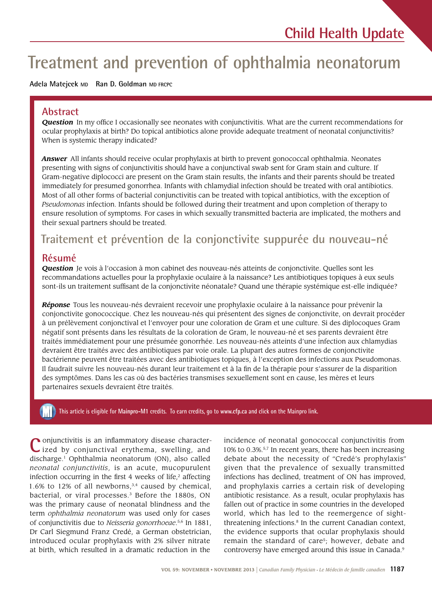# **Treatment and prevention of ophthalmia neonatorum**

#### **Adela Matejcek MD Ran D. Goldman MD FRCPC**

### **Abstract**

**Question** In my office I occasionally see neonates with conjunctivitis. What are the current recommendations for ocular prophylaxis at birth? Do topical antibiotics alone provide adequate treatment of neonatal conjunctivitis? When is systemic therapy indicated?

*Answer* All infants should receive ocular prophylaxis at birth to prevent gonococcal ophthalmia. Neonates presenting with signs of conjunctivitis should have a conjunctival swab sent for Gram stain and culture. If Gram-negative diplococci are present on the Gram stain results, the infants and their parents should be treated immediately for presumed gonorrhea. Infants with chlamydial infection should be treated with oral antibiotics. Most of all other forms of bacterial conjunctivitis can be treated with topical antibiotics, with the exception of *Pseudomonas* infection. Infants should be followed during their treatment and upon completion of therapy to ensure resolution of symptoms. For cases in which sexually transmitted bacteria are implicated, the mothers and their sexual partners should be treated.

# **Traitement et prévention de la conjonctivite suppurée du nouveau-né**

### **Résumé**

*Question* Je vois à l'occasion à mon cabinet des nouveau-nés atteints de conjonctivite. Quelles sont les recommandations actuelles pour la prophylaxie oculaire à la naissance? Les antibiotiques topiques à eux seuls sont-ils un traitement suffisant de la conjonctivite néonatale? Quand une thérapie systémique est-elle indiquée?

*Réponse* Tous les nouveau-nés devraient recevoir une prophylaxie oculaire à la naissance pour prévenir la conjonctivite gonococcique. Chez les nouveau-nés qui présentent des signes de conjonctivite, on devrait procéder à un prélèvement conjonctival et l'envoyer pour une coloration de Gram et une culture. Si des diplocoques Gram négatif sont présents dans les résultats de la coloration de Gram, le nouveau-né et ses parents devraient être traités immédiatement pour une présumée gonorrhée. Les nouveau-nés atteints d'une infection aux chlamydias devraient être traités avec des antibiotiques par voie orale. La plupart des autres formes de conjonctivite bactérienne peuvent être traitées avec des antibiotiques topiques, à l'exception des infections aux Pseudomonas. Il faudrait suivre les nouveau-nés durant leur traitement et à la fin de la thérapie pour s'assurer de la disparition des symptômes. Dans les cas où des bactéries transmises sexuellement sont en cause, les mères et leurs partenaires sexuels devraient être traités.

## This article is eligible for Mainpro-M1 credits. To earn credits, go to www.cfp.ca and click on the Mainpro link.

**C** onjunctivitis is an inflammatory disease character-ized by conjunctival erythema, swelling, and discharge.1 Ophthalmia neonatorum (ON), also called *neonatal conjunctivitis*, is an acute, mucopurulent infection occurring in the first  $4$  weeks of life, $2$  affecting 1.6% to 12% of all newborns, $3,4$  caused by chemical, bacterial, or viral processes.<sup>3</sup> Before the 1880s, ON was the primary cause of neonatal blindness and the term *ophthalmia neonatorum* was used only for cases of conjunctivitis due to *Neisseria gonorrhoeae*. 5,6 In 1881, Dr Carl Siegmund Franz Credé, a German obstetrician, introduced ocular prophylaxis with 2% silver nitrate at birth, which resulted in a dramatic reduction in the

incidence of neonatal gonococcal conjunctivitis from 10% to 0.3%.5,7 In recent years, there has been increasing debate about the necessity of "Credé's prophylaxis" given that the prevalence of sexually transmitted infections has declined, treatment of ON has improved, and prophylaxis carries a certain risk of developing antibiotic resistance. As a result, ocular prophylaxis has fallen out of practice in some countries in the developed world, which has led to the reemergence of sightthreatening infections.<sup>8</sup> In the current Canadian context, the evidence supports that ocular prophylaxis should remain the standard of care<sup>5</sup>; however, debate and controversy have emerged around this issue in Canada.<sup>9</sup>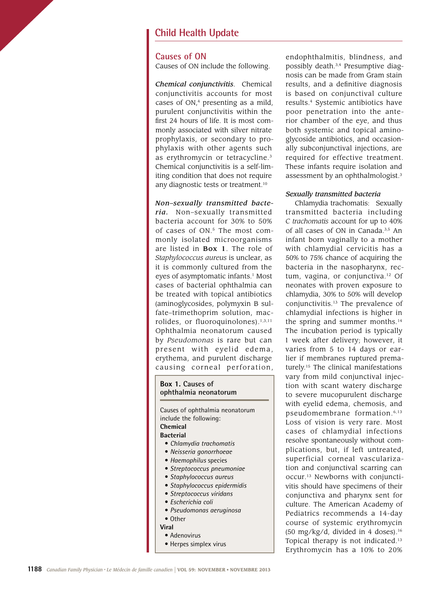### **Child Health Update**

#### **Causes of ON**

Causes of ON include the following.

*Chemical conjunctivitis*. Chemical conjunctivitis accounts for most cases of  $ON<sub>r</sub><sup>4</sup>$  presenting as a mild, purulent conjunctivitis within the first 24 hours of life. It is most commonly associated with silver nitrate prophylaxis, or secondary to prophylaxis with other agents such as erythromycin or tetracycline.<sup>3</sup> Chemical conjunctivitis is a self-limiting condition that does not require any diagnostic tests or treatment.10

#### *Non–sexually transmitted bacte-*

*ria.* Non–sexually transmitted bacteria account for 30% to 50% of cases of ON.<sup>5</sup> The most commonly isolated microorganisms are listed in Box 1. The role of *Staphylococcus aureus* is unclear, as it is commonly cultured from the eyes of asymptomatic infants.<sup>1</sup> Most cases of bacterial ophthalmia can be treated with topical antibiotics (aminoglycosides, polymyxin B sulfate–trimethoprim solution, macrolides, or fluoroquinolones).<sup>1,3,11</sup> Ophthalmia neonatorum caused by *Pseudomonas* is rare but can present with eyelid edema, erythema, and purulent discharge causing corneal perforation,

#### **Box 1. Causes of ophthalmia neonatorum**

Causes of ophthalmia neonatorum include the following: **Chemical Bacterial** • *Chlamydia trachomatis* • *Neisseria gonorrhoeae* • *Haemophilus* species • *Streptococcus pneumoniae* • *Staphylococcus aureus* • *Staphylococcus epidermidis* • *Streptococcus viridans* • *Escherichia coli*

- *Pseudomonas aeruginosa*
- Other
- **Viral**
- Adenovirus
- Herpes simplex virus

endophthalmitis, blindness, and possibly death.3,4 Presumptive diagnosis can be made from Gram stain results, and a definitive diagnosis is based on conjunctival culture results.4 Systemic antibiotics have poor penetration into the anterior chamber of the eye, and thus both systemic and topical aminoglycoside antibiotics, and occasionally subconjunctival injections, are required for effective treatment. These infants require isolation and assessment by an ophthalmologist.3

### *Sexually transmitted bacteria*

Chlamydia trachomatis: Sexually transmitted bacteria including *C trachomatis* account for up to 40% of all cases of ON in Canada.<sup>3,5</sup> An infant born vaginally to a mother with chlamydial cervicitis has a 50% to 75% chance of acquiring the bacteria in the nasopharynx, rectum, vagina, or conjunctiva.12 Of neonates with proven exposure to chlamydia, 30% to 50% will develop conjunctivitis.13 The prevalence of chlamydial infections is higher in the spring and summer months.14 The incubation period is typically 1 week after delivery; however, it varies from 5 to 14 days or earlier if membranes ruptured prematurely.<sup>15</sup> The clinical manifestations vary from mild conjunctival injection with scant watery discharge to severe mucopurulent discharge with eyelid edema, chemosis, and pseudomembrane formation.6,13 Loss of vision is very rare. Most cases of chlamydial infections resolve spontaneously without complications, but, if left untreated, superficial corneal vascularization and conjunctival scarring can occur.13 Newborns with conjunctivitis should have specimens of their conjunctiva and pharynx sent for culture. The American Academy of Pediatrics recommends a 14-day course of systemic erythromycin (50 mg/kg/d, divided in 4 doses). $16$ Topical therapy is not indicated.13 Erythromycin has a 10% to 20%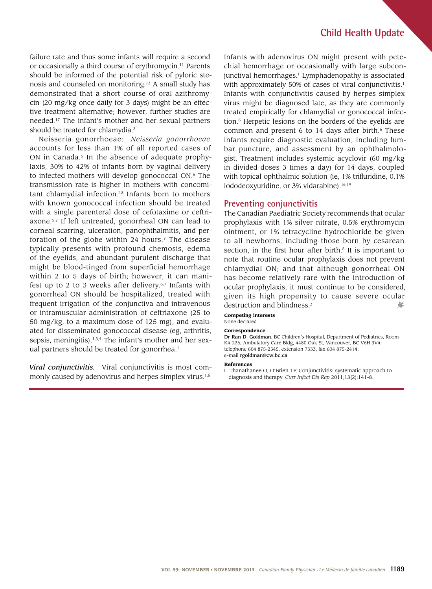failure rate and thus some infants will require a second or occasionally a third course of erythromycin.11 Parents should be informed of the potential risk of pyloric stenosis and counseled on monitoring.13 A small study has demonstrated that a short course of oral azithromycin (20 mg/kg once daily for 3 days) might be an effective treatment alternative; however, further studies are needed.17 The infant's mother and her sexual partners should be treated for chlamydia.<sup>3</sup>

Neisseria gonorrhoeae: *Neisseria gonorrhoeae* accounts for less than 1% of all reported cases of ON in Canada.<sup>5</sup> In the absence of adequate prophylaxis, 30% to 42% of infants born by vaginal delivery to infected mothers will develop gonococcal ON.6 The transmission rate is higher in mothers with concomitant chlamydial infection.<sup>18</sup> Infants born to mothers with known gonococcal infection should be treated with a single parenteral dose of cefotaxime or ceftriaxone.5,7 If left untreated, gonorrheal ON can lead to corneal scarring, ulceration, panophthalmitis, and perforation of the globe within 24 hours.<sup>7</sup> The disease typically presents with profound chemosis, edema of the eyelids, and abundant purulent discharge that might be blood-tinged from superficial hemorrhage within 2 to 5 days of birth; however, it can manifest up to 2 to 3 weeks after delivery. $6,7$  Infants with gonorrheal ON should be hospitalized, treated with frequent irrigation of the conjunctiva and intravenous or intramuscular administration of ceftriaxone (25 to 50 mg/kg, to a maximum dose of 125 mg), and evaluated for disseminated gonococcal disease (eg, arthritis, sepsis, meningitis).<sup>1,3,4</sup> The infant's mother and her sexual partners should be treated for gonorrhea.<sup>1</sup>

*Viral conjunctivitis.* Viral conjunctivitis is most commonly caused by adenovirus and herpes simplex virus.<sup>1,6</sup>

Infants with adenovirus ON might present with petechial hemorrhage or occasionally with large subconjunctival hemorrhages.<sup>1</sup> Lymphadenopathy is associated with approximately 50% of cases of viral conjunctivitis.<sup>1</sup> Infants with conjunctivitis caused by herpes simplex virus might be diagnosed late, as they are commonly treated empirically for chlamydial or gonococcal infection.6 Herpetic lesions on the borders of the eyelids are common and present  $6$  to 14 days after birth. $6$  These infants require diagnostic evaluation, including lumbar puncture, and assessment by an ophthalmologist. Treatment includes systemic acyclovir (60 mg/kg in divided doses 3 times a day) for 14 days, coupled with topical ophthalmic solution (ie, 1% trifluridine, 0.1% iododeoxyuridine, or 3% vidarabine).<sup>16,19</sup>

#### **Preventing conjunctivitis**

The Canadian Paediatric Society recommends that ocular prophylaxis with 1% silver nitrate, 0.5% erythromycin ointment, or 1% tetracycline hydrochloride be given to all newborns, including those born by cesarean section, in the first hour after birth.<sup>5</sup> It is important to note that routine ocular prophylaxis does not prevent chlamydial ON; and that although gonorrheal ON has become relatively rare with the introduction of ocular prophylaxis, it must continue to be considered, given its high propensity to cause severe ocular destruction and blindness.<sup>3</sup> V

#### **Competing interests** None declared

#### **Correspondence**

Dr Ran D. Goldman, BC Children's Hospital, Department of Pediatrics, Room K4-226, Ambulatory Care Bldg, 4480 Oak St, Vancouver, BC V6H 3V4; telephone 604 875-2345, extension 7333; fax 604 875-2414; e-mail rgoldman@cw.bc.ca

#### **References**

1. Thanathanee O, O'Brien TP. Conjunctivitis: systematic approach to diagnosis and therapy. *Curr Infect Dis Rep* 2011;13(2):141-8.